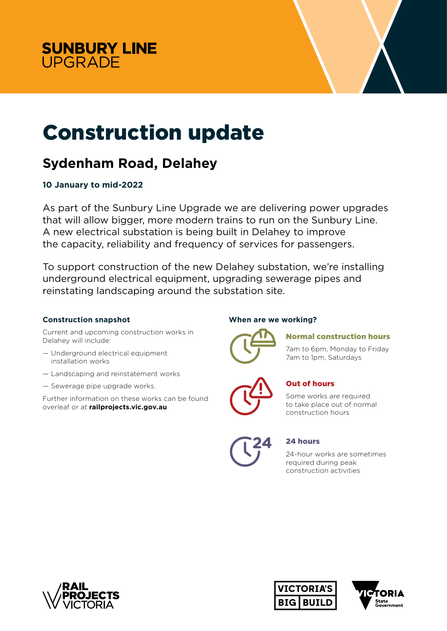



# Construction update

# **Sydenham Road, Delahey**

# **10 January to mid-2022**

As part of the Sunbury Line Upgrade we are delivering power upgrades that will allow bigger, more modern trains to run on the Sunbury Line. A new electrical substation is being built in Delahey to improve the capacity, reliability and frequency of services for passengers.

To support construction of the new Delahey substation, we're installing underground electrical equipment, upgrading sewerage pipes and reinstating landscaping around the substation site.

### **Construction snapshot**

Current and upcoming construction works in Delahey will include:

- Underground electrical equipment installation works
- Landscaping and reinstatement works
- Sewerage pipe upgrade works.

Further information on these works can be found overleaf or at **railprojects.vic.gov.au**

# **When are we working?**



# Normal construction hours

7am to 6pm, Monday to Friday 7am to 1pm, Saturdays



# Out of hours

Some works are required to take place out of normal construction hours

| 4<br>4 |
|--------|
|        |
|        |

### 24 hours

24-hour works are sometimes required during peak construction activities





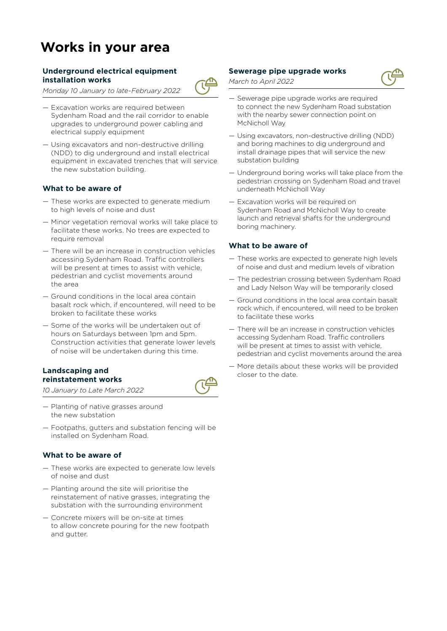# **Works in your area**

#### **Underground electrical equipment installation works**

*Monday 10 January to late-February 2022*

- Excavation works are required between Sydenham Road and the rail corridor to enable upgrades to underground power cabling and electrical supply equipment
- Using excavators and non-destructive drilling (NDD) to dig underground and install electrical equipment in excavated trenches that will service the new substation building.

#### **What to be aware of**

- These works are expected to generate medium to high levels of noise and dust
- Minor vegetation removal works will take place to facilitate these works. No trees are expected to require removal
- There will be an increase in construction vehicles accessing Sydenham Road. Traffic controllers will be present at times to assist with vehicle. pedestrian and cyclist movements around the area
- Ground conditions in the local area contain basalt rock which, if encountered, will need to be broken to facilitate these works
- Some of the works will be undertaken out of hours on Saturdays between 1pm and 5pm. Construction activities that generate lower levels of noise will be undertaken during this time.

#### **Landscaping and reinstatement works**

*10 January to Late March 2022*

- Planting of native grasses around the new substation
- Footpaths, gutters and substation fencing will be installed on Sydenham Road.

#### **What to be aware of**

- These works are expected to generate low levels of noise and dust
- Planting around the site will prioritise the reinstatement of native grasses, integrating the substation with the surrounding environment
- Concrete mixers will be on-site at times to allow concrete pouring for the new footpath and gutter.

#### **Sewerage pipe upgrade works**

*March to April 2022*

- Sewerage pipe upgrade works are required to connect the new Sydenham Road substation with the nearby sewer connection point on McNicholl Way
- Using excavators, non-destructive drilling (NDD) and boring machines to dig underground and install drainage pipes that will service the new substation building
- Underground boring works will take place from the pedestrian crossing on Sydenham Road and travel underneath McNicholl Way
- Excavation works will be required on Sydenham Road and McNicholl Way to create launch and retrieval shafts for the underground boring machinery.

#### **What to be aware of**

- These works are expected to generate high levels of noise and dust and medium levels of vibration
- The pedestrian crossing between Sydenham Road and Lady Nelson Way will be temporarily closed
- Ground conditions in the local area contain basalt rock which, if encountered, will need to be broken to facilitate these works
- There will be an increase in construction vehicles accessing Sydenham Road. Traffic controllers will be present at times to assist with vehicle, pedestrian and cyclist movements around the area
- More details about these works will be provided closer to the date.



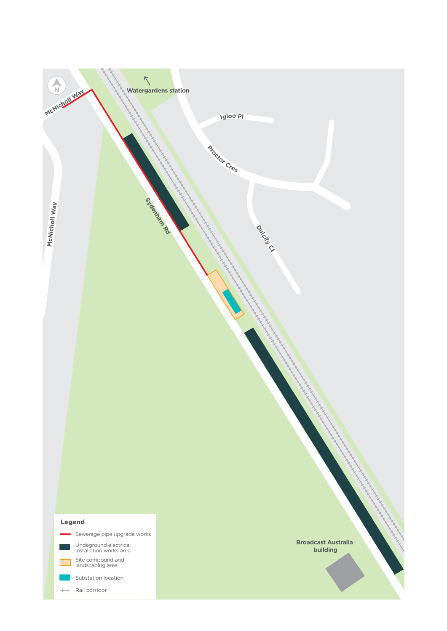